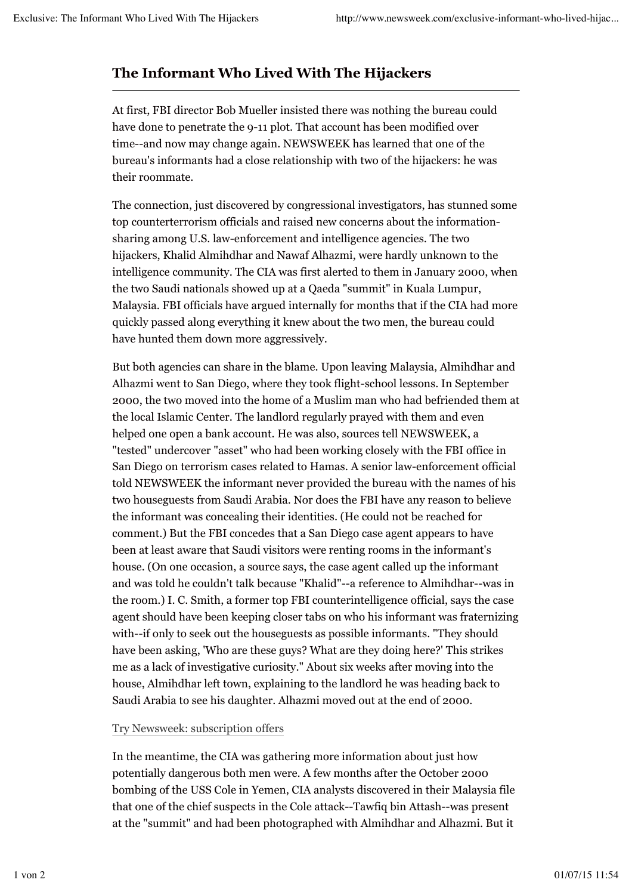## **The Informant Who Lived With The Hijackers**

At first, FBI director Bob Mueller insisted there was nothing the bureau could have done to penetrate the 9-11 plot. That account has been modified over time--and now may change again. NEWSWEEK has learned that one of the bureau's informants had a close relationship with two of the hijackers: he was their roommate.

The connection, just discovered by congressional investigators, has stunned some top counterterrorism officials and raised new concerns about the informationsharing among U.S. law-enforcement and intelligence agencies. The two hijackers, Khalid Almihdhar and Nawaf Alhazmi, were hardly unknown to the intelligence community. The CIA was first alerted to them in January 2000, when the two Saudi nationals showed up at a Qaeda "summit" in Kuala Lumpur, Malaysia. FBI officials have argued internally for months that if the CIA had more quickly passed along everything it knew about the two men, the bureau could have hunted them down more aggressively.

But both agencies can share in the blame. Upon leaving Malaysia, Almihdhar and Alhazmi went to San Diego, where they took flight-school lessons. In September 2000, the two moved into the home of a Muslim man who had befriended them at the local Islamic Center. The landlord regularly prayed with them and even helped one open a bank account. He was also, sources tell NEWSWEEK, a "tested" undercover "asset" who had been working closely with the FBI office in San Diego on terrorism cases related to Hamas. A senior law-enforcement official told NEWSWEEK the informant never provided the bureau with the names of his two houseguests from Saudi Arabia. Nor does the FBI have any reason to believe the informant was concealing their identities. (He could not be reached for comment.) But the FBI concedes that a San Diego case agent appears to have been at least aware that Saudi visitors were renting rooms in the informant's house. (On one occasion, a source says, the case agent called up the informant and was told he couldn't talk because "Khalid"--a reference to Almihdhar--was in the room.) I. C. Smith, a former top FBI counterintelligence official, says the case agent should have been keeping closer tabs on who his informant was fraternizing with--if only to seek out the houseguests as possible informants. "They should have been asking, 'Who are these guys? What are they doing here?' This strikes me as a lack of investigative curiosity." About six weeks after moving into the house, Almihdhar left town, explaining to the landlord he was heading back to Saudi Arabia to see his daughter. Alhazmi moved out at the end of 2000.

## Try Newsweek: subscription offers

In the meantime, the CIA was gathering more information about just how potentially dangerous both men were. A few months after the October 2000 bombing of the USS Cole in Yemen, CIA analysts discovered in their Malaysia file that one of the chief suspects in the Cole attack--Tawfiq bin Attash--was present at the "summit" and had been photographed with Almihdhar and Alhazmi. But it